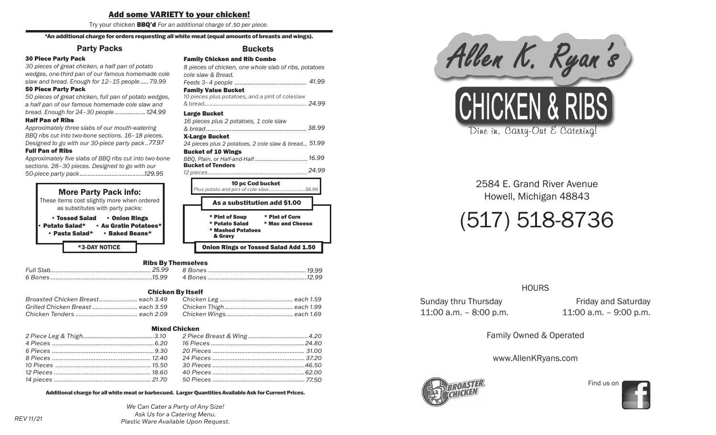#### <u>Add some VARIETY to your chicken:</u> Try your chicken BBQ'd *For an additional charge of* .35 *per piece.* Try your chicken BBQ'd *For an additional charge of* .35 *per piece.* Add some VARIETY to your chicken!

Try your chicken **BBQ'd** For an additional charge of 50 per piece.

#### \*An additional charge for orders requesting all white meat (equal amounts of breasts and wings). All additional charge for orders requesting all white meat (equal amounts of breasts and whigs).

#### Orders Requesting All White Meat (equal amounts of breasts & wings) for an additional charge. Party Packs Party Packs

## 30 Piece Party Pack 30 Piece Party Pack Party Packs

**30 Piece Party Pack**<br>30 pieces of great chicken, a half pan of potato 30 Piece Party Pack *wedges, one-third pan of our famous homemade cole wedges, one-third pan of our famous homemade cole 30 pieces of great chicken, a half pan of potato 30 piccher child pan of bar lambas homomade* staw and bread. Enough for 12-15 people..... 79.99<br>Slaw and bread. Enough for 12-15 people..... 79.99 50 Piece Party Pack 50 Piece Party Pack *slaw and bread. Enough for 12–15 people ..... 79.99*

**30 Pieces Party Pack**<br>50 pieces of great chicken, full pan of potato wedges, 50 Piece Party Pack *a half pan of our famous homemade cole slaw and a half pan of our famous homemade cole slaw and 50 pieces great chicken, full pan of potato wedges, 50 pieces of great chicken, full pan of potato wedges, a half pan of our famous homemade cole slaw and bread. Enough for 24–30 people ...................119.99 bread. Enough for 24–30 people ...................119.99 a half pan of our famous homemade cole slaw and* 

## Half Pan of Ribs Half Pan of Ribs *bread. Enough for 24–30 people ...................119.99*

*bread. Enough for 24–30 people ...................119.99 Approximately three slabs of our mouth-watering Approximately three slabs of our mouth-watering*  Half Pan of Ribs Half Pan of Ribs *BBQ ribs cut into two-bone sections. 16–18 pieces. BBQ ribs cut into two-bone sections. 16–18 pieces. Approximately three slabs of our mouth-watering Approximately three slabs of our mouth-watering*  Designed to go with our 30-piece party pack...77.97<br>Designed to go with our 30-piece party pack...77.97 Full Pan of Ribs Full Pan of Ribs *Designed to go with our 30-piece party pack .. 62.97*

**Turf Turf of Ribs**<br>Approximately five slabs of BBQ ribs cut into two-bone Full Pan of Ribs *sections. 28–30 pieces. Designed to go with our sections. 28–30 pieces. Designed to go with our Approximately five slabs of BBQ ribs cut into two-bone Approximately five slabs of BBQ ribs cut into two-bone sections. 28–30 pieces. Designed to go with our 50-piece party pack.........................................104.95 50-piece party pack.........................................104.95 sections. 28–30 pieces. Designed to go with our 129.95*



#### Onion Rings or Tossed Salad Add 1.50 Ribs By Themselves

#### *Full Slab ............................................................. 20.99* **Chicken By Itself** *8 Bones .............................................................. 14.99*

| <b>VIIIVACII DY ILSCII</b>        |  |  |  |  |
|-----------------------------------|--|--|--|--|
|                                   |  |  |  |  |
| Grilled Chicken Breast  each 3.59 |  |  |  |  |
|                                   |  |  |  |  |
|                                   |  |  |  |  |

#### *2 piece breast & wing...........................................3.80* Mixed Chicken

| Mixed Chicken |  |  |  |  |
|---------------|--|--|--|--|
|               |  |  |  |  |
|               |  |  |  |  |
|               |  |  |  |  |
|               |  |  |  |  |
|               |  |  |  |  |
|               |  |  |  |  |
|               |  |  |  |  |

rger Quantities Available Ask for Current Prices. rger Quantities Available Ask for Current Prices. Additional charge for all white meat or barbecued. Larger Quantities Available Ask for Current Prices.<br>

> We Can Cater a Party of Any Size! Larger Quantities Available Ask for Current Prices *Additional charge for all white meat or barbecued.* Larger Quantities Available Ask for Current Prices *Ask Us for a Catering Menu. Additional charge for all white meat or barbecued. Additional charge for all white meat or barbecued. Plastic Ware Available Upon Request.*

# Buckets Buckets

Family Chicken and Rib Combo Family Chicken and Rib Combo *cole slaw & Bread. cole slaw & Bread. 8 pieces of chicken, one whole slab of ribs, potatoes 8 pieces of chicken, one whole slab of ribs, potatoes Feeds 3–4 people ............................................. 38.99 Feeds 3–4 people ............................................. 38.99 cole slaw & Bread. 41.99* **Family Value Bucket**<br>**Family Value Bucket Taility value Bucket**<br>10 pieces plus potatoes, and a pint of coleslaw Family Value Bucket *& Bread ................................................................22.99* & bread........................................................................... *Large Bucket* **8 pieces of chicken, one whole slab of ribs, potatoes** *& Bread ................................................................22.99 10 pieces plus potato, and a pint of cole slaw 24.99*

*& Bread ................................................................22.99 16 pieces plus 2 potatoes, 1 cole slaw 16 pieces plus 2 potatoes, 1 cole slaw*  Large Bucket Large Bucket *& bread............................................................... 35.99 & bread............................................................... 35.99 16 pieces plus 2 potatoes, 1 cole slaw 38.99 16 pieces plus 2 potatoes, 1 cole slaw*  X-Large Bucket X-Large Bucket *& bread............................................................... 35.99* 24 pieces plus 2 potatoes, 2 cole slaw & bread... 51.99 X-Large Bucket Bucket of 10 Wings Bucket of 10 Wings *24 pieces plus 2 potatoes, 2 cole slaw & bread... 46.99*

#### *24 pieces plus 2 potatoes, 2 cole slaw & bread... 46.99 BBQ, Plain, or Half-and-Half................................... 14.99 BBQ, Plain, or Half-and-Half...................................14.99*Bucket of 10 Wings *16.99* Bucket of 10 Wings *BBQ, Plain, or Half-and-Half................................... 14.99* Bucket of Tenders *BBQ, Plain, or Half-and-Half................................... 14.99 12 pieces*.........................................................................*24.99* .................................... 10 pc Cod Bucket



Chicken by Itself

# Onion Rings or Tossed Salad Add 1.50

| . |  |
|---|--|
|   |  |
|   |  |

### Chicken Leg ................................................. each 1.49

|                                   | <b>Chicken By Itself</b> |  |
|-----------------------------------|--------------------------|--|
|                                   |                          |  |
| Grilled Chicken Breast  each 3.59 |                          |  |
|                                   |                          |  |

#### *2 piece breast & wing...........................................3.80 2 piece leg & thigh................................................3.00*

| ⋍<br>التشرح<br>П<br>. . |
|-------------------------|



2584 E. Grand River Avenue Howell, Michigan 48843 Howell, Michigan 48843

# (517) 518-8736 Howell, Michigan 48843<br>(517) 518-8736 (517) 518-8736

#### HOURS HOURS Sunday Friday Sunday Friday Andrew Thursday and Saturday and Saturday and Saturday and Saturday and Saturday A Sunday Friday Friday Sunday Friday Andrew Thursday and Saturday Andrew Thursday Andrew Thursday Andrew Thursday

Sunday thru Thursday **Friday and Saturday** 11:00 a.m. – 8:00 p.m. Family Owned & Operated

11:00 a.m. –  $9:00$  p.m.

Family Owned & Operated Family Owned & Operated

# www.AllenKRyans.com www.AllenKRyans.com



Find us on Find us on